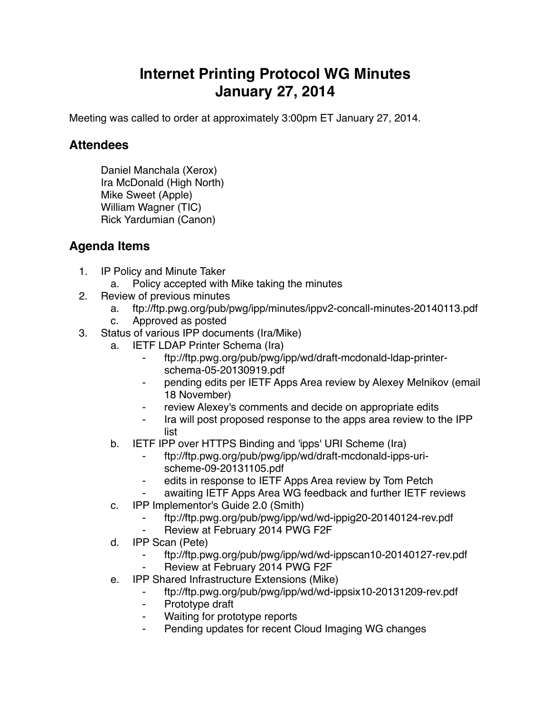## **Internet Printing Protocol WG Minutes January 27, 2014**

Meeting was called to order at approximately 3:00pm ET January 27, 2014.

## **Attendees**

Daniel Manchala (Xerox) Ira McDonald (High North) Mike Sweet (Apple) William Wagner (TIC) Rick Yardumian (Canon)

## **Agenda Items**

- 1. IP Policy and Minute Taker
	- a. Policy accepted with Mike taking the minutes
- 2. Review of previous minutes
	- a. ftp://ftp.pwg.org/pub/pwg/ipp/minutes/ippv2-concall-minutes-20140113.pdf
	- c. Approved as posted
- 3. Status of various IPP documents (Ira/Mike)
	- a. IETF LDAP Printer Schema (Ira)
		- ⁃ ftp://ftp.pwg.org/pub/pwg/ipp/wd/draft-mcdonald-ldap-printerschema-05-20130919.pdf
		- ⁃ pending edits per IETF Apps Area review by Alexey Melnikov (email 18 November)
		- review Alexey's comments and decide on appropriate edits
		- ⁃ Ira will post proposed response to the apps area review to the IPP list
	- b. IETF IPP over HTTPS Binding and 'ipps' URI Scheme (Ira)
		- ⁃ ftp://ftp.pwg.org/pub/pwg/ipp/wd/draft-mcdonald-ipps-urischeme-09-20131105.pdf
		- ⁃ edits in response to IETF Apps Area review by Tom Petch
		- awaiting IETF Apps Area WG feedback and further IETF reviews
	- c. IPP Implementor's Guide 2.0 (Smith)
		- ⁃ ftp://ftp.pwg.org/pub/pwg/ipp/wd/wd-ippig20-20140124-rev.pdf
		- Review at February 2014 PWG F2F
	- d. IPP Scan (Pete)
		- ⁃ ftp://ftp.pwg.org/pub/pwg/ipp/wd/wd-ippscan10-20140127-rev.pdf
		- Review at February 2014 PWG F2F
	- e. IPP Shared Infrastructure Extensions (Mike)
		- ⁃ ftp://ftp.pwg.org/pub/pwg/ipp/wd/wd-ippsix10-20131209-rev.pdf
		- ⁃ Prototype draft
		- Waiting for prototype reports
		- Pending updates for recent Cloud Imaging WG changes